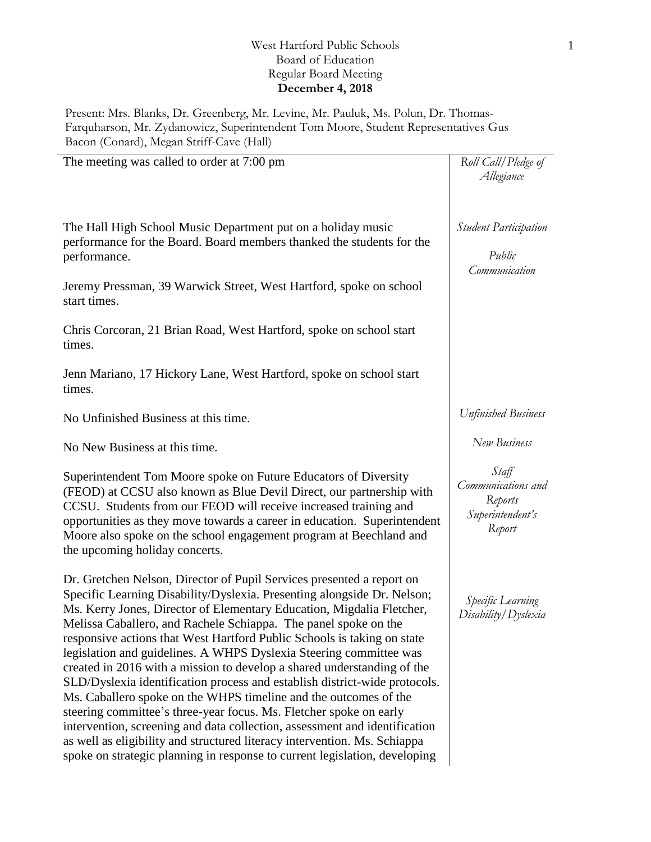## West Hartford Public Schools Board of Education Regular Board Meeting **December 4, 2018**

Present: Mrs. Blanks, Dr. Greenberg, Mr. Levine, Mr. Pauluk, Ms. Polun, Dr. Thomas-Farquharson, Mr. Zydanowicz, Superintendent Tom Moore, Student Representatives Gus Bacon (Conard), Megan Striff-Cave (Hall)

The meeting was called to order at 7:00 pm *Roll Call/Pledge of Allegiance* The Hall High School Music Department put on a holiday music performance for the Board. Board members thanked the students for the performance. Jeremy Pressman, 39 Warwick Street, West Hartford, spoke on school start times. Chris Corcoran, 21 Brian Road, West Hartford, spoke on school start times. Jenn Mariano, 17 Hickory Lane, West Hartford, spoke on school start times. No Unfinished Business at this time. No New Business at this time. Superintendent Tom Moore spoke on Future Educators of Diversity (FEOD) at CCSU also known as Blue Devil Direct, our partnership with CCSU. Students from our FEOD will receive increased training and opportunities as they move towards a career in education. Superintendent Moore also spoke on the school engagement program at Beechland and the upcoming holiday concerts. Dr. Gretchen Nelson, Director of Pupil Services presented a report on Specific Learning Disability/Dyslexia. Presenting alongside Dr. Nelson; Ms. Kerry Jones, Director of Elementary Education, Migdalia Fletcher, Melissa Caballero, and Rachele Schiappa. The panel spoke on the responsive actions that West Hartford Public Schools is taking on state legislation and guidelines. A WHPS Dyslexia Steering committee was created in 2016 with a mission to develop a shared understanding of the SLD/Dyslexia identification process and establish district-wide protocols. Ms. Caballero spoke on the WHPS timeline and the outcomes of the steering committee's three-year focus. Ms. Fletcher spoke on early intervention, screening and data collection, assessment and identification as well as eligibility and structured literacy intervention. Ms. Schiappa spoke on strategic planning in response to current legislation, developing *Student Participation Public Communication Unfinished Business New Business Staff Communications and Reports Superintendent's Report Specific Learning Disability/Dyslexia*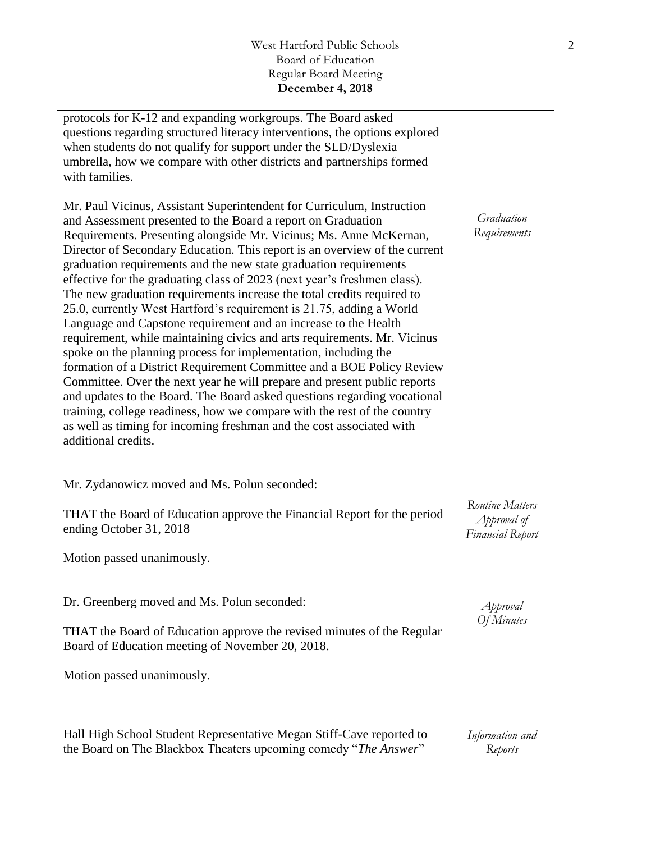protocols for K-12 and expanding workgroups. The Board asked questions regarding structured literacy interventions, the options explored when students do not qualify for support under the SLD/Dyslexia umbrella, how we compare with other districts and partnerships formed with families.

Mr. Paul Vicinus, Assistant Superintendent for Curriculum, Instruction and Assessment presented to the Board a report on Graduation Requirements. Presenting alongside Mr. Vicinus; Ms. Anne McKernan, Director of Secondary Education. This report is an overview of the current graduation requirements and the new state graduation requirements effective for the graduating class of 2023 (next year's freshmen class). The new graduation requirements increase the total credits required to 25.0, currently West Hartford's requirement is 21.75, adding a World Language and Capstone requirement and an increase to the Health requirement, while maintaining civics and arts requirements. Mr. Vicinus spoke on the planning process for implementation, including the formation of a District Requirement Committee and a BOE Policy Review Committee. Over the next year he will prepare and present public reports and updates to the Board. The Board asked questions regarding vocational training, college readiness, how we compare with the rest of the country as well as timing for incoming freshman and the cost associated with additional credits.

Mr. Zydanowicz moved and Ms. Polun seconded:

THAT the Board of Education approve the Financial Report for the period ending October 31, 2018

Motion passed unanimously.

Dr. Greenberg moved and Ms. Polun seconded:

THAT the Board of Education approve the revised minutes of the Regular Board of Education meeting of November 20, 2018.

Motion passed unanimously.

Hall High School Student Representative Megan Stiff-Cave reported to the Board on The Blackbox Theaters upcoming comedy "*The Answer*"

*Graduation Requirements*

*Routine Matters Approval of Financial Report*

> *Approval Of Minutes*

*Information and Reports*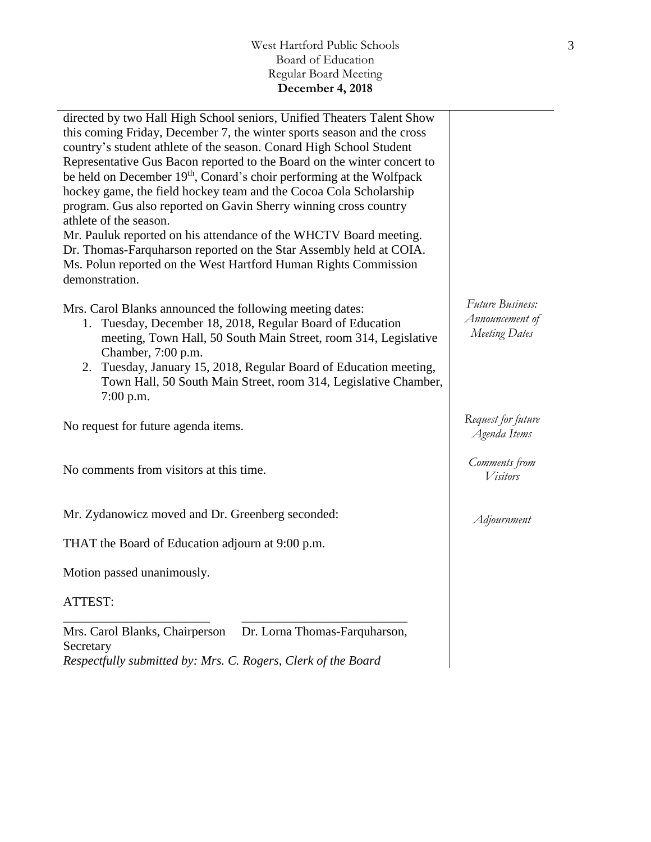directed by two Hall High School seniors, Unified Theaters Talent Show this coming Friday, December 7, the winter sports season and the cross country's student athlete of the season. Conard High School Student Representative Gus Bacon reported to the Board on the winter concert to be held on December 19<sup>th</sup>, Conard's choir performing at the Wolfpack hockey game, the field hockey team and the Cocoa Cola Scholarship program. Gus also reported on Gavin Sherry winning cross country athlete of the season. Mr. Pauluk reported on his attendance of the WHCTV Board meeting. Dr. Thomas-Farquharson reported on the Star Assembly held at COIA. Ms. Polun reported on the West Hartford Human Rights Commission demonstration. Mrs. Carol Blanks announced the following meeting dates: 1. Tuesday, December 18, 2018, Regular Board of Education meeting, Town Hall, 50 South Main Street, room 314, Legislative Chamber, 7:00 p.m. 2. Tuesday, January 15, 2018, Regular Board of Education meeting, Town Hall, 50 South Main Street, room 314, Legislative Chamber, 7:00 p.m. No request for future agenda items. No comments from visitors at this time. Mr. Zydanowicz moved and Dr. Greenberg seconded: THAT the Board of Education adjourn at 9:00 p.m. Motion passed unanimously. ATTEST: \_\_\_\_\_\_\_\_\_\_\_\_\_\_\_\_\_\_\_\_\_\_\_ \_\_\_\_\_\_\_\_\_\_\_\_\_\_\_\_\_\_\_\_\_\_\_\_\_\_ Mrs. Carol Blanks, Chairperson Dr. Lorna Thomas-Farquharson, **Secretary** *Respectfully submitted by: Mrs. C. Rogers, Clerk of the Board Future Business: Announcement of Meeting Dates Request for future Agenda Items Comments from Visitors Adjournment*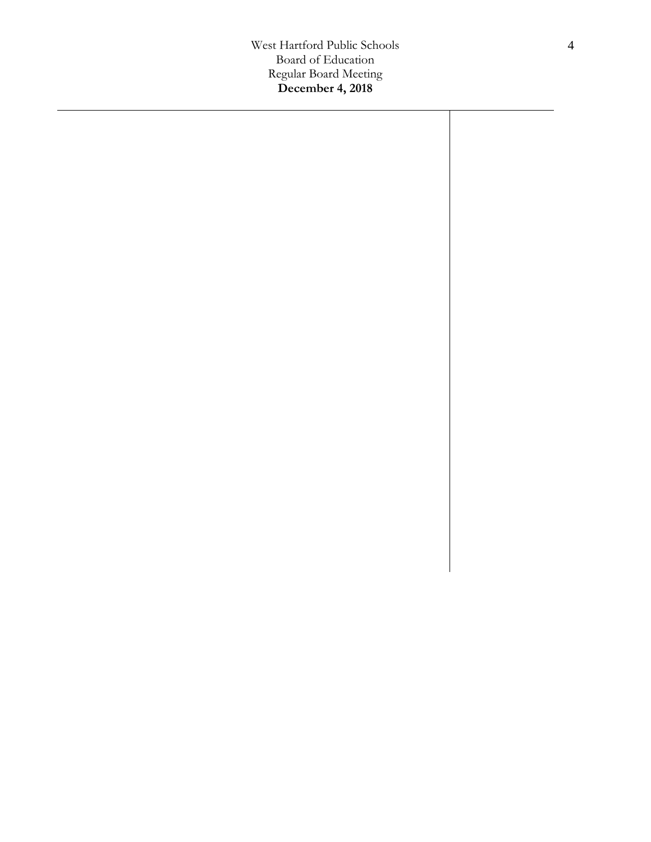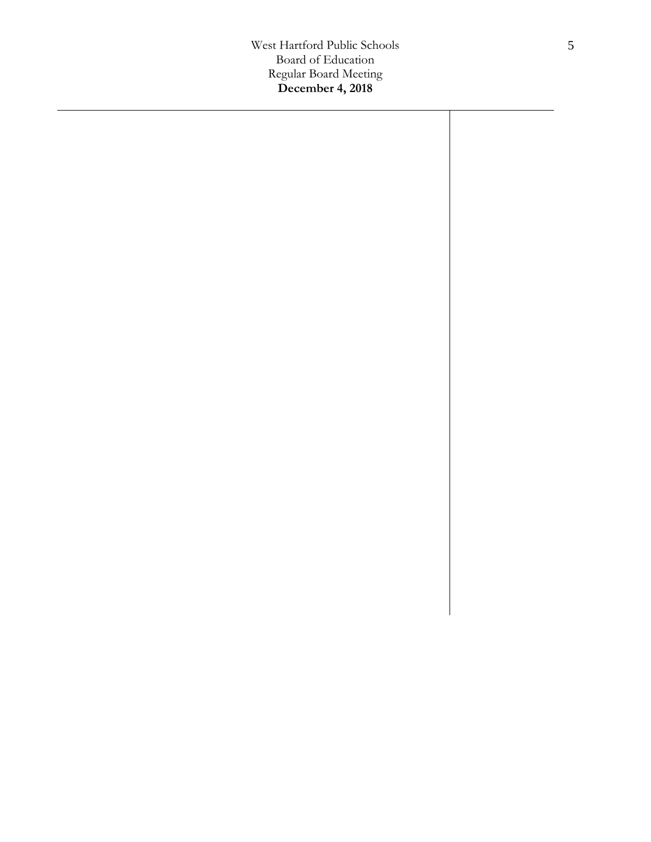